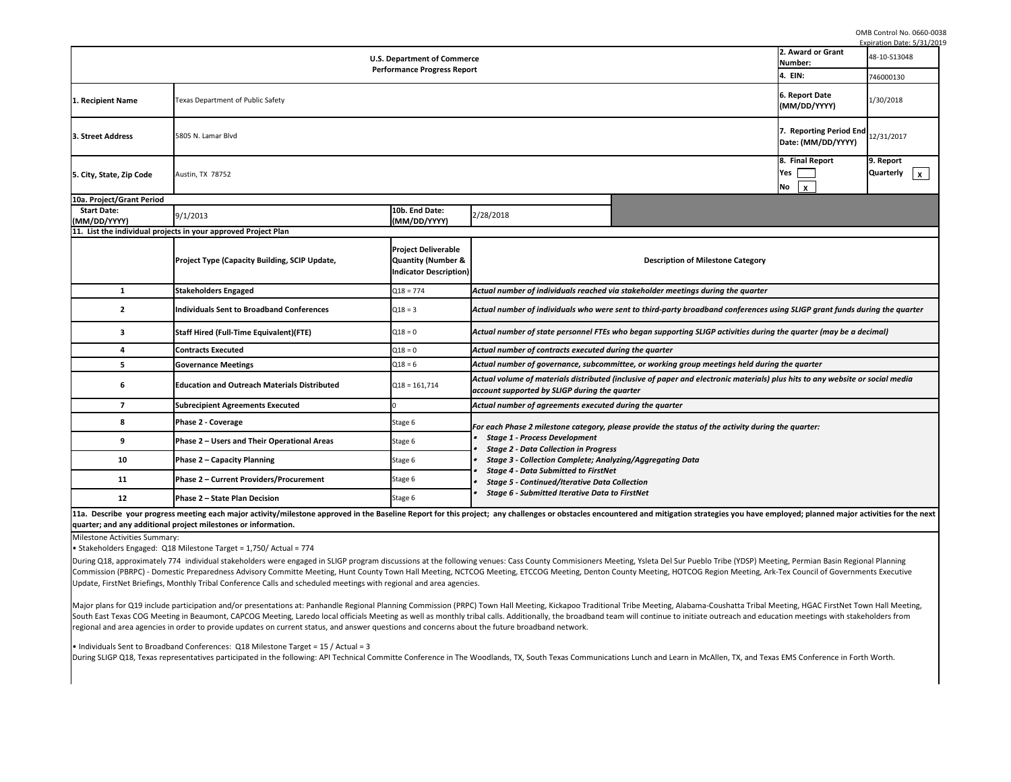OMB Control No. 0660-0038

|11a. Describe your progress meeting each major activity/milestone approved in the Baseline Report for this project; any challenges or obstacles encountered a **quarter; and any additional project milestones or information.** 

| <b>U.S. Department of Commerce</b>            |                                                                                                                                                                                                                                                            |                                                                            |                                                                                                                                                                                            |                                                                                                                  | 2. Award or Grant<br>Number:                  |  |  |
|-----------------------------------------------|------------------------------------------------------------------------------------------------------------------------------------------------------------------------------------------------------------------------------------------------------------|----------------------------------------------------------------------------|--------------------------------------------------------------------------------------------------------------------------------------------------------------------------------------------|------------------------------------------------------------------------------------------------------------------|-----------------------------------------------|--|--|
| <b>Performance Progress Report</b><br>4. EIN: |                                                                                                                                                                                                                                                            |                                                                            |                                                                                                                                                                                            |                                                                                                                  |                                               |  |  |
| 1. Recipient Name                             | 6. Report Date<br>Texas Department of Public Safety<br>(MM/DD/YYYY)                                                                                                                                                                                        |                                                                            |                                                                                                                                                                                            |                                                                                                                  |                                               |  |  |
| 3. Street Address                             | 5805 N. Lamar Blvd                                                                                                                                                                                                                                         |                                                                            |                                                                                                                                                                                            |                                                                                                                  | 7. Reporting Period End<br>Date: (MM/DD/YYYY) |  |  |
| 5. City, State, Zip Code                      | Austin, TX 78752                                                                                                                                                                                                                                           |                                                                            |                                                                                                                                                                                            |                                                                                                                  | 8. Final Report<br>Yes<br>No<br>$\mathbf{x}$  |  |  |
| 10a. Project/Grant Period                     |                                                                                                                                                                                                                                                            |                                                                            |                                                                                                                                                                                            |                                                                                                                  |                                               |  |  |
| <b>Start Date:</b><br>(MM/DD/YYYY)            | 9/1/2013                                                                                                                                                                                                                                                   | 10b. End Date:<br>(MM/DD/YYYY)                                             | 2/28/2018                                                                                                                                                                                  |                                                                                                                  |                                               |  |  |
|                                               | 11. List the individual projects in your approved Project Plan                                                                                                                                                                                             |                                                                            |                                                                                                                                                                                            |                                                                                                                  |                                               |  |  |
|                                               | <b>Project Type (Capacity Building, SCIP Update,</b>                                                                                                                                                                                                       | <b>Project Deliverable</b><br>Quantity (Number &<br>Indicator Description) |                                                                                                                                                                                            | <b>Description of Milestone Category</b>                                                                         |                                               |  |  |
| $\mathbf{1}$                                  | <b>Stakeholders Engaged</b>                                                                                                                                                                                                                                | $Q18 = 774$                                                                |                                                                                                                                                                                            | Actual number of individuals reached via stakeholder meetings during the quarter                                 |                                               |  |  |
| $\mathbf{2}$                                  | <b>Individuals Sent to Broadband Conferences</b>                                                                                                                                                                                                           | $Q18 = 3$                                                                  |                                                                                                                                                                                            | Actual number of individuals who were sent to third-party broadband conferences using SLIGP grant funds du       |                                               |  |  |
| $\mathbf{3}$                                  | <b>Staff Hired (Full-Time Equivalent)(FTE)</b>                                                                                                                                                                                                             | $Q18 = 0$                                                                  |                                                                                                                                                                                            | Actual number of state personnel FTEs who began supporting SLIGP activities during the quarter (may be a de      |                                               |  |  |
| 4                                             | <b>Contracts Executed</b>                                                                                                                                                                                                                                  | $Q18 = 0$                                                                  | Actual number of contracts executed during the quarter                                                                                                                                     |                                                                                                                  |                                               |  |  |
| 5                                             | <b>Governance Meetings</b>                                                                                                                                                                                                                                 | $Q18 = 6$                                                                  |                                                                                                                                                                                            | Actual number of governance, subcommittee, or working group meetings held during the quarter                     |                                               |  |  |
| 6                                             | <b>Education and Outreach Materials Distributed</b>                                                                                                                                                                                                        | $Q18 = 161,714$                                                            | account supported by SLIGP during the quarter                                                                                                                                              | Actual volume of materials distributed (inclusive of paper and electronic materials) plus hits to any website or |                                               |  |  |
| $\overline{7}$                                | <b>Subrecipient Agreements Executed</b>                                                                                                                                                                                                                    |                                                                            | Actual number of agreements executed during the quarter                                                                                                                                    |                                                                                                                  |                                               |  |  |
|                                               | Phase 2 - Coverage                                                                                                                                                                                                                                         | Stage 6                                                                    | For each Phase 2 milestone category, please provide the status of the activity during the quarter:<br><b>Stage 1 - Process Development</b><br><b>Stage 2 - Data Collection in Progress</b> |                                                                                                                  |                                               |  |  |
| 9                                             | Phase 2 – Users and Their Operational Areas                                                                                                                                                                                                                | Stage 6                                                                    |                                                                                                                                                                                            |                                                                                                                  |                                               |  |  |
| 10                                            | <b>Phase 2 - Capacity Planning</b>                                                                                                                                                                                                                         | Stage 6                                                                    | <b>Stage 3 - Collection Complete; Analyzing/Aggregating Data</b>                                                                                                                           |                                                                                                                  |                                               |  |  |
| 11                                            | Phase 2 - Current Providers/Procurement                                                                                                                                                                                                                    | Stage 6                                                                    | <b>Stage 4 - Data Submitted to FirstNet</b><br><b>Stage 5 - Continued/Iterative Data Collection</b>                                                                                        |                                                                                                                  |                                               |  |  |
| 12                                            | Phase 2 - State Plan Decision<br>11g Describe vous progress moeting oach major activity/milectone annrouad in the Baseline Benevt for this projecty, any challenges ar obstacles ansountered and mitigation strategies you have employedy planned major as | Stage 6                                                                    | <b>Stage 6 - Submitted Iterative Data to FirstNet</b>                                                                                                                                      |                                                                                                                  |                                               |  |  |

During Q18, approximately 774 individual stakeholders were engaged in SLIGP program discussions at the following venues: Cass County Commisioners Meeting, Ysl Commission (PBRPC) - Domestic Preparedness Advisory Committe Meeting, Hunt County Town Hall Meeting, NCTCOG Meeting, ETCCOG Meeting, Denton County Me Update, FirstNet Briefings, Monthly Tribal Conference Calls and scheduled meetings with regional and area agencies.

Major plans for Q19 include participation and/or presentations at: Panhandle Regional Planning Commission (PRPC) Town Hall Meeting, Kickapoo Traditional Tribe M South East Texas COG Meeting in Beaumont, CAPCOG Meeting, Laredo local officials Meeting as well as monthly tribal calls. Additionally, the broadband team will co regional and area agencies in order to provide updates on current status, and answer questions and concerns about the future broadband network.

 $\bullet$  Individuals Sent to Broadband Conferences: Q18 Milestone Target = 15 / Actual = 3

During SLIGP Q18, Texas representatives participated in the following: API Technical Committe Conference in The Woodlands, TX, South Texas Communications Lunc

|                                                                                                                                                                                                                                                                                            |                                                                                                                                                                                                                                                               |                                                           | Expiration Date: 5/31/2019         |
|--------------------------------------------------------------------------------------------------------------------------------------------------------------------------------------------------------------------------------------------------------------------------------------------|---------------------------------------------------------------------------------------------------------------------------------------------------------------------------------------------------------------------------------------------------------------|-----------------------------------------------------------|------------------------------------|
| cе                                                                                                                                                                                                                                                                                         |                                                                                                                                                                                                                                                               | 2. Award or Grant                                         | 48-10-S13048                       |
| rt.                                                                                                                                                                                                                                                                                        |                                                                                                                                                                                                                                                               | Number:<br>4. EIN:                                        | 746000130                          |
|                                                                                                                                                                                                                                                                                            |                                                                                                                                                                                                                                                               | 6. Report Date                                            |                                    |
|                                                                                                                                                                                                                                                                                            |                                                                                                                                                                                                                                                               | (MM/DD/YYYY)                                              | 1/30/2018                          |
|                                                                                                                                                                                                                                                                                            |                                                                                                                                                                                                                                                               | 7. Reporting Period End<br>Date: (MM/DD/YYYY)             | 12/31/2017                         |
|                                                                                                                                                                                                                                                                                            |                                                                                                                                                                                                                                                               | 8. Final Report<br>Yes<br>No<br>$\boldsymbol{\mathsf{X}}$ | 9. Report<br><b>Quarterly</b><br>X |
| 2/28/2018                                                                                                                                                                                                                                                                                  |                                                                                                                                                                                                                                                               |                                                           |                                    |
|                                                                                                                                                                                                                                                                                            | <b>Description of Milestone Category</b>                                                                                                                                                                                                                      |                                                           |                                    |
|                                                                                                                                                                                                                                                                                            | Actual number of individuals reached via stakeholder meetings during the quarter                                                                                                                                                                              |                                                           |                                    |
|                                                                                                                                                                                                                                                                                            | Actual number of individuals who were sent to third-party broadband conferences using SLIGP grant funds during the quarter                                                                                                                                    |                                                           |                                    |
|                                                                                                                                                                                                                                                                                            | Actual number of state personnel FTEs who began supporting SLIGP activities during the quarter (may be a decimal)                                                                                                                                             |                                                           |                                    |
| Actual number of contracts executed during the quarter                                                                                                                                                                                                                                     |                                                                                                                                                                                                                                                               |                                                           |                                    |
|                                                                                                                                                                                                                                                                                            | Actual number of governance, subcommittee, or working group meetings held during the quarter                                                                                                                                                                  |                                                           |                                    |
| account supported by SLIGP during the quarter                                                                                                                                                                                                                                              | Actual volume of materials distributed (inclusive of paper and electronic materials) plus hits to any website or social media                                                                                                                                 |                                                           |                                    |
| Actual number of agreements executed during the quarter                                                                                                                                                                                                                                    |                                                                                                                                                                                                                                                               |                                                           |                                    |
| • Stage 1 - Process Development<br>• Stage 2 - Data Collection in Progress<br>• Stage 3 - Collection Complete; Analyzing/Aggregating Data<br>• Stage 4 - Data Submitted to FirstNet<br>• Stage 5 - Continued/Iterative Data Collection<br>• Stage 6 - Submitted Iterative Data to FirstNet | For each Phase 2 milestone category, please provide the status of the activity during the quarter:                                                                                                                                                            |                                                           |                                    |
|                                                                                                                                                                                                                                                                                            | iject; any challenges or obstacles encountered and mitigation strategies you have employed; planned major activities for the next                                                                                                                             |                                                           |                                    |
| ؛S.                                                                                                                                                                                                                                                                                        | g venues: Cass County Commisioners Meeting, Ysleta Del Sur Pueblo Tribe (YDSP) Meeting, Permian Basin Regional Planning<br>OG Meeting, ETCCOG Meeting, Denton County Meeting, HOTCOG Region Meeting, Ark-Tex Council of Governments Executive                 |                                                           |                                    |
| at the future broadband network.                                                                                                                                                                                                                                                           | c) Town Hall Meeting, Kickapoo Traditional Tribe Meeting, Alabama-Coushatta Tribal Meeting, HGAC FirstNet Town Hall Meeting,<br>ibal calls. Additionally, the broadband team will continue to initiate outreach and education meetings with stakeholders from |                                                           |                                    |
|                                                                                                                                                                                                                                                                                            | Woodlands, TX, South Texas Communications Lunch and Learn in McAllen, TX, and Texas EMS Conference in Forth Worth.                                                                                                                                            |                                                           |                                    |
|                                                                                                                                                                                                                                                                                            |                                                                                                                                                                                                                                                               |                                                           |                                    |

Milestone Activities Summary:

• Stakeholders Engaged: Q18 Milestone Target = 1,750/ Actual = 774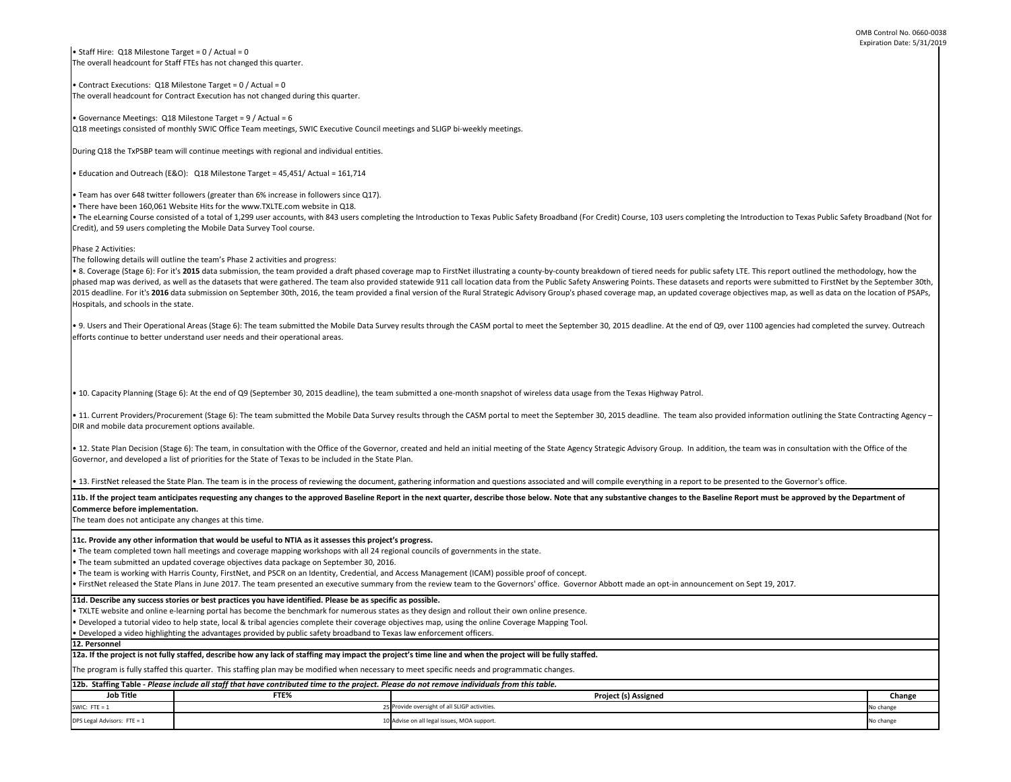| e, 103 users completing the Introduction to Texas Public Safety Broadband (Not for                                                                                                                                                                         |           |  |  |  |  |
|------------------------------------------------------------------------------------------------------------------------------------------------------------------------------------------------------------------------------------------------------------|-----------|--|--|--|--|
|                                                                                                                                                                                                                                                            |           |  |  |  |  |
| red needs for public safety LTE. This report outlined the methodology, how the<br>ints. These datasets and reports were submitted to FirstNet by the September 30th,<br>nap, an updated coverage objectives map, as well as data on the location of PSAPs, |           |  |  |  |  |
| adline. At the end of Q9, over 1100 agencies had completed the survey. Outreach                                                                                                                                                                            |           |  |  |  |  |
|                                                                                                                                                                                                                                                            |           |  |  |  |  |
|                                                                                                                                                                                                                                                            |           |  |  |  |  |
| as Highway Patrol.                                                                                                                                                                                                                                         |           |  |  |  |  |
| dline. The team also provided information outlining the State Contracting Agency -                                                                                                                                                                         |           |  |  |  |  |
| isory Group. In addition, the team was in consultation with the Office of the                                                                                                                                                                              |           |  |  |  |  |
| ything in a report to be presented to the Governor's office.                                                                                                                                                                                               |           |  |  |  |  |
| e changes to the Baseline Report must be approved by the Department of                                                                                                                                                                                     |           |  |  |  |  |
|                                                                                                                                                                                                                                                            |           |  |  |  |  |
|                                                                                                                                                                                                                                                            |           |  |  |  |  |
| e an opt-in announcement on Sept 19, 2017.                                                                                                                                                                                                                 |           |  |  |  |  |
|                                                                                                                                                                                                                                                            |           |  |  |  |  |
|                                                                                                                                                                                                                                                            |           |  |  |  |  |
|                                                                                                                                                                                                                                                            |           |  |  |  |  |
|                                                                                                                                                                                                                                                            |           |  |  |  |  |
| signed                                                                                                                                                                                                                                                     | Change    |  |  |  |  |
|                                                                                                                                                                                                                                                            | No change |  |  |  |  |
|                                                                                                                                                                                                                                                            |           |  |  |  |  |
|                                                                                                                                                                                                                                                            | No change |  |  |  |  |

11b. If the project team anticipates requesting any changes to the approved Baseline Report in the next quarter, describe those below. Note that any substantive **Commerce before implementation.** 

The team does not anticipate any changes at this time.

• TXLTE website and online e-learning portal has become the benchmark for numerous states as they design and rollout their own online presence.

• Developed a tutorial video to help state, local & tribal agencies complete their coverage objectives map, using the online Coverage Mapping Tool.

• Developed a video highlighting the advantages provided by public safety broadband to Texas law enforcement officers.

**11d. Describe any success stories or best practices you have identified. Please be as specific as possible.**

**11c. Provide any other information that would be useful to NTIA as it assesses this project's progress.** 

• The team completed town hall meetings and coverage mapping workshops with all 24 regional councils of governments in the state.

• The team submitted an updated coverage objectives data package on September 30, 2016.

• The eLearning Course consisted of a total of 1,299 user accounts, with 843 users completing the Introduction to Texas Public Safety Broadband (For Credit) Course Credit), and 59 users completing the Mobile Data Survey Tool course.

• The team is working with Harris County, FirstNet, and PSCR on an Identity, Credential, and Access Management (ICAM) possible proof of concept.

• FirstNet released the State Plans in June 2017. The team presented an executive summary from the review team to the Governors' office. Governor Abbott made

• Staff Hire: Q18 Milestone Target = 0 / Actual = 0 The overall headcount for Staff FTEs has not changed this quarter.

• 8. Coverage (Stage 6): For it's 2015 data submission, the team provided a draft phased coverage map to FirstNet illustrating a county-by-county breakdown of tier phased map was derived, as well as the datasets that were gathered. The team also provided statewide 911 call location data from the Public Safety Answering Poir 2015 deadline. For it's 2016 data submission on September 30th, 2016, the team provided a final version of the Rural Strategic Advisory Group's phased coverage m Hospitals, and schools in the state.

• Contract Executions: Q18 Milestone Target = 0 / Actual = 0 The overall headcount for Contract Execution has not changed during this quarter.

• 9. Users and Their Operational Areas (Stage 6): The team submitted the Mobile Data Survey results through the CASM portal to meet the September 30, 2015 dea efforts continue to better understand user needs and their operational areas.

• 10. Capacity Planning (Stage 6): At the end of Q9 (September 30, 2015 deadline), the team submitted a one-month snapshot of wireless data usage from the Texa

• Governance Meetings: Q18 Milestone Target = 9 / Actual = 6 Q18 meetings consisted of monthly SWIC Office Team meetings, SWIC Executive Council meetings and SLIGP bi-weekly meetings.

During Q18 the TxPSBP team will continue meetings with regional and individual entities.

• 11. Current Providers/Procurement (Stage 6): The team submitted the Mobile Data Survey results through the CASM portal to meet the September 30, 2015 dead DIR and mobile data procurement options available.

• Education and Outreach (E&O): Q18 Milestone Target = 45,451/ Actual = 161,714

• Team has over 648 twitter followers (greater than 6% increase in followers since Q17).

• 12. State Plan Decision (Stage 6): The team, in consultation with the Office of the Governor, created and held an initial meeting of the State Agency Strategic Advi Governor, and developed a list of priorities for the State of Texas to be included in the State Plan.

• 13. FirstNet released the State Plan. The team is in the process of reviewing the document, gathering information and questions associated and will compile every

• There have been 160,061 Website Hits for the www.TXLTE.com website in Q18.

| 12b. Staffing Table - Please include all staff that have contributed time to the project. Please do not remove individuals from this table. |      |                                               |           |  |  |
|---------------------------------------------------------------------------------------------------------------------------------------------|------|-----------------------------------------------|-----------|--|--|
| <b>Job Title</b>                                                                                                                            | FTE% | <b>Project (s) Assigned</b>                   | Change    |  |  |
| SWIC: FTE = $1$                                                                                                                             |      | 25 Provide oversight of all SLIGP activities. | No change |  |  |
| DPS Legal Advisors: FTE = 1                                                                                                                 |      | 10 Advise on all legal issues, MOA support.   | No change |  |  |

Phase 2 Activities:

The following details will outline the team's Phase 2 activities and progress:

The program is fully staffed this quarter. This staffing plan may be modified when necessary to meet specific needs and programmatic changes.

**12a. If the project is not fully staffed, describe how any lack of staffing may impact the project's time line and when the project will be fully staffed.**

**12. Personnel**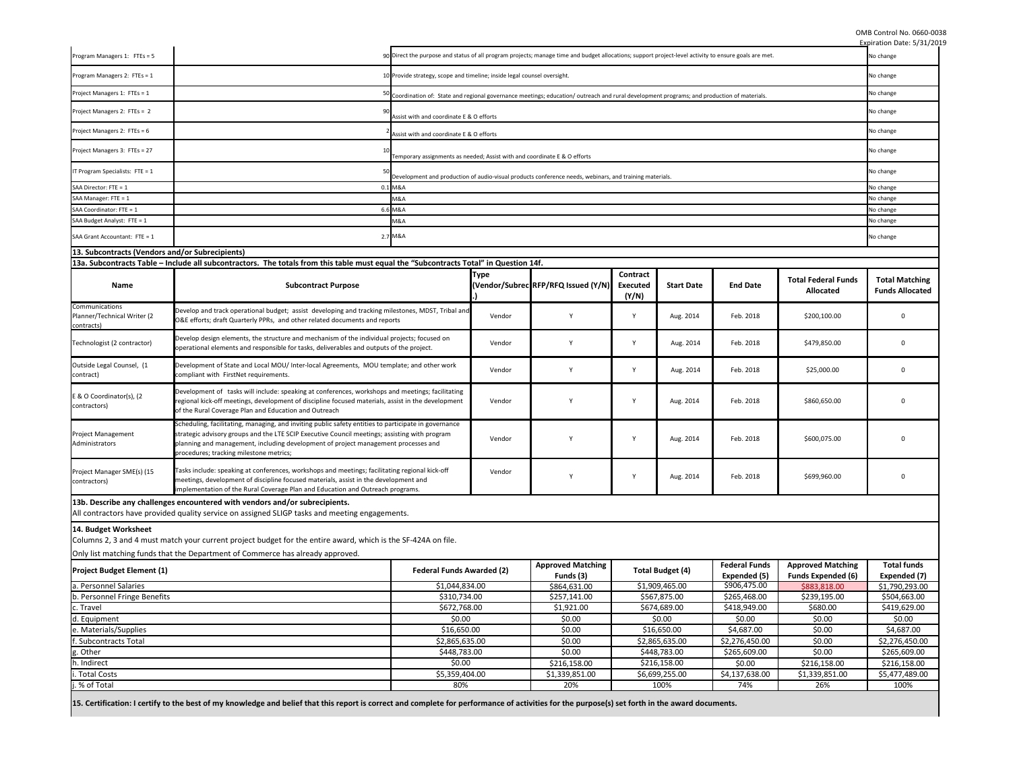OMB Control No. 0660-0038

**15. Certification: I certify to the best of my knowledge and belief that this report is correct and complete for performance of activities for the purpose(s) set forth in the award documents.**

|                                                                                                                                                                                                |                                                                                                                                                                                                                                                                                                                                        |                                                                           |                                                                          |                                                                                                                                             |                                      |                         |                                      |                                                       | Expiration Date: 5/31/2019                      |
|------------------------------------------------------------------------------------------------------------------------------------------------------------------------------------------------|----------------------------------------------------------------------------------------------------------------------------------------------------------------------------------------------------------------------------------------------------------------------------------------------------------------------------------------|---------------------------------------------------------------------------|--------------------------------------------------------------------------|---------------------------------------------------------------------------------------------------------------------------------------------|--------------------------------------|-------------------------|--------------------------------------|-------------------------------------------------------|-------------------------------------------------|
| Program Managers 1: FTEs = 5                                                                                                                                                                   | 90 Direct the purpose and status of all program projects; manage time and budget allocations; support project-level activity to ensure goals are met.                                                                                                                                                                                  |                                                                           |                                                                          |                                                                                                                                             |                                      | No change               |                                      |                                                       |                                                 |
| Program Managers 2: FTEs = 1                                                                                                                                                                   |                                                                                                                                                                                                                                                                                                                                        |                                                                           | 10 Provide strategy, scope and timeline; inside legal counsel oversight. |                                                                                                                                             |                                      |                         |                                      |                                                       |                                                 |
| Project Managers 1: FTEs = 1                                                                                                                                                                   |                                                                                                                                                                                                                                                                                                                                        |                                                                           |                                                                          | 50 Coordination of: State and regional governance meetings; education/outreach and rural development programs; and production of materials. |                                      |                         |                                      |                                                       |                                                 |
| Project Managers 2: FTEs = 2                                                                                                                                                                   |                                                                                                                                                                                                                                                                                                                                        | Assist with and coordinate E & O efforts                                  |                                                                          |                                                                                                                                             |                                      |                         |                                      | No change                                             |                                                 |
| Project Managers 2: FTEs = 6                                                                                                                                                                   |                                                                                                                                                                                                                                                                                                                                        | Assist with and coordinate E & O efforts                                  |                                                                          |                                                                                                                                             |                                      |                         |                                      |                                                       | No change                                       |
| Project Managers 3: FTEs = 27                                                                                                                                                                  |                                                                                                                                                                                                                                                                                                                                        | Temporary assignments as needed; Assist with and coordinate E & O efforts |                                                                          |                                                                                                                                             |                                      |                         |                                      |                                                       | No change                                       |
| IT Program Specialists: FTE = $1$                                                                                                                                                              |                                                                                                                                                                                                                                                                                                                                        |                                                                           |                                                                          | Development and production of audio-visual products conference needs, webinars, and training materials.                                     |                                      |                         |                                      |                                                       | No change                                       |
| SAA Director: FTE = 1                                                                                                                                                                          |                                                                                                                                                                                                                                                                                                                                        | 0.1 M&A                                                                   |                                                                          |                                                                                                                                             |                                      |                         |                                      |                                                       | No change                                       |
| SAA Manager: FTE = 1                                                                                                                                                                           |                                                                                                                                                                                                                                                                                                                                        | M&A                                                                       |                                                                          |                                                                                                                                             |                                      |                         |                                      |                                                       | No change                                       |
| SAA Coordinator: FTE = 1                                                                                                                                                                       |                                                                                                                                                                                                                                                                                                                                        | 6.6 M&A                                                                   |                                                                          |                                                                                                                                             |                                      |                         |                                      |                                                       | No change                                       |
| SAA Budget Analyst: FTE = 1                                                                                                                                                                    |                                                                                                                                                                                                                                                                                                                                        | VI&A                                                                      |                                                                          |                                                                                                                                             |                                      |                         |                                      |                                                       | No change                                       |
| SAA Grant Accountant: FTE = 1                                                                                                                                                                  |                                                                                                                                                                                                                                                                                                                                        | 2.7 M&A                                                                   |                                                                          |                                                                                                                                             |                                      |                         |                                      |                                                       | No change                                       |
| 13. Subcontracts (Vendors and/or Subrecipients)                                                                                                                                                |                                                                                                                                                                                                                                                                                                                                        |                                                                           |                                                                          |                                                                                                                                             |                                      |                         |                                      |                                                       |                                                 |
|                                                                                                                                                                                                | 13a. Subcontracts Table – Include all subcontractors. The totals from this table must equal the "Subcontracts Total" in Question 14f.                                                                                                                                                                                                  |                                                                           |                                                                          |                                                                                                                                             |                                      |                         |                                      |                                                       |                                                 |
| <b>Name</b>                                                                                                                                                                                    | <b>Subcontract Purpose</b>                                                                                                                                                                                                                                                                                                             |                                                                           | <b>Type</b>                                                              | (Vendor/Subrec RFP/RFQ Issued (Y/N)                                                                                                         | Contract<br><b>Executed</b><br>(Y/N) | <b>Start Date</b>       | <b>End Date</b>                      | <b>Total Federal Funds</b><br><b>Allocated</b>        | <b>Total Matching</b><br><b>Funds Allocated</b> |
| Communications<br>Planner/Technical Writer (2<br>contracts)                                                                                                                                    | Develop and track operational budget; assist developing and tracking milestones, MDST, Tribal and<br>O&E efforts; draft Quarterly PPRs, and other related documents and reports                                                                                                                                                        |                                                                           | Vendor                                                                   |                                                                                                                                             | <sup>Y</sup>                         | Aug. 2014               | Feb. 2018                            | \$200,100.00                                          | $\Omega$                                        |
| Technologist (2 contractor)                                                                                                                                                                    | Develop design elements, the structure and mechanism of the individual projects; focused on<br>operational elements and responsible for tasks, deliverables and outputs of the project.                                                                                                                                                |                                                                           | Vendor                                                                   | Y                                                                                                                                           | <b>V</b>                             | Aug. 2014               | Feb. 2018                            | \$479,850.00                                          | $\Omega$                                        |
| Outside Legal Counsel, (1<br>contract)                                                                                                                                                         | Development of State and Local MOU/ Inter-local Agreements, MOU template; and other work<br>compliant with FirstNet requirements.                                                                                                                                                                                                      |                                                                           | Vendor                                                                   |                                                                                                                                             | Y                                    | Aug. 2014               | Feb. 2018                            | \$25,000.00                                           | $\Omega$                                        |
| E & O Coordinator(s), (2<br>contractors)                                                                                                                                                       | Development of tasks will include: speaking at conferences, workshops and meetings; facilitating<br>regional kick-off meetings, development of discipline focused materials, assist in the development<br>of the Rural Coverage Plan and Education and Outreach                                                                        |                                                                           | Vendor                                                                   | Υ                                                                                                                                           | $\mathsf{v}$                         | Aug. 2014               | Feb. 2018                            | \$860,650.00                                          | $\Omega$                                        |
| Project Management<br>Administrators                                                                                                                                                           | Scheduling, facilitating, managing, and inviting public safety entities to participate in governance<br>strategic advisory groups and the LTE SCIP Executive Council meetings; assisting with program<br>planning and management, including development of project management processes and<br>procedures; tracking milestone metrics; |                                                                           | Vendor                                                                   |                                                                                                                                             | <sup>V</sup>                         | Aug. 2014               | Feb. 2018                            | \$600,075.00                                          | $\Omega$                                        |
| Project Manager SME(s) (15<br>contractors)                                                                                                                                                     | Tasks include: speaking at conferences, workshops and meetings; facilitating regional kick-off<br>meetings, development of discipline focused materials, assist in the development and<br>implementation of the Rural Coverage Plan and Education and Outreach programs.                                                               |                                                                           | Vendor                                                                   |                                                                                                                                             | $\mathsf{v}$                         | Aug. 2014               | Feb. 2018                            | \$699,960.00                                          | $\Omega$                                        |
| 13b. Describe any challenges encountered with vendors and/or subrecipients.                                                                                                                    |                                                                                                                                                                                                                                                                                                                                        |                                                                           |                                                                          |                                                                                                                                             |                                      |                         |                                      |                                                       |                                                 |
|                                                                                                                                                                                                | All contractors have provided quality service on assigned SLIGP tasks and meeting engagements.                                                                                                                                                                                                                                         |                                                                           |                                                                          |                                                                                                                                             |                                      |                         |                                      |                                                       |                                                 |
| 14. Budget Worksheet                                                                                                                                                                           | Columns 2, 3 and 4 must match your current project budget for the entire award, which is the SF-424A on file.                                                                                                                                                                                                                          |                                                                           |                                                                          |                                                                                                                                             |                                      |                         |                                      |                                                       |                                                 |
|                                                                                                                                                                                                | Only list matching funds that the Department of Commerce has already approved.                                                                                                                                                                                                                                                         |                                                                           |                                                                          |                                                                                                                                             |                                      |                         |                                      |                                                       |                                                 |
| <b>Project Budget Element (1)</b>                                                                                                                                                              | <b>Federal Funds Awarded (2)</b>                                                                                                                                                                                                                                                                                                       |                                                                           |                                                                          | <b>Approved Matching</b><br>Funds (3)                                                                                                       |                                      | <b>Total Budget (4)</b> | <b>Federal Funds</b><br>Expended (5) | <b>Approved Matching</b><br><b>Funds Expended (6)</b> | <b>Total funds</b><br>Expended (7)              |
| a. Personnel Salaries                                                                                                                                                                          |                                                                                                                                                                                                                                                                                                                                        | \$1,044,834.00                                                            |                                                                          | \$864,631.00                                                                                                                                |                                      | \$1,909,465.00          | \$906,475.00                         | \$883,818.00                                          | \$1,790,293.00                                  |
| b. Personnel Fringe Benefits                                                                                                                                                                   |                                                                                                                                                                                                                                                                                                                                        | \$310,734.00                                                              |                                                                          | \$257,141.00                                                                                                                                |                                      | \$567,875.00            | \$265,468.00                         | \$239,195.00                                          | \$504,663.00                                    |
| \$672,768.00<br>c. Travel                                                                                                                                                                      |                                                                                                                                                                                                                                                                                                                                        |                                                                           | \$1,921.00                                                               |                                                                                                                                             | \$674,689.00                         | \$418,949.00            | \$680.00                             | \$419,629.00                                          |                                                 |
| \$0.00<br>d. Equipment                                                                                                                                                                         |                                                                                                                                                                                                                                                                                                                                        |                                                                           | \$0.00                                                                   |                                                                                                                                             | \$0.00                               | \$0.00                  | \$0.00                               | \$0.00                                                |                                                 |
|                                                                                                                                                                                                |                                                                                                                                                                                                                                                                                                                                        |                                                                           | \$0.00                                                                   |                                                                                                                                             | \$16,650.00                          | \$4,687.00              | \$0.00                               | \$4,687.00                                            |                                                 |
| e. Materials/Supplies                                                                                                                                                                          | \$16,650.00                                                                                                                                                                                                                                                                                                                            |                                                                           |                                                                          |                                                                                                                                             |                                      |                         |                                      |                                                       |                                                 |
| f. Subcontracts Total                                                                                                                                                                          | \$2,865,635.00                                                                                                                                                                                                                                                                                                                         |                                                                           |                                                                          | \$0.00                                                                                                                                      |                                      | \$2,865,635.00          | \$2,276,450.00                       | \$0.00                                                | \$2,276,450.00                                  |
| g. Other<br>\$448,783.00                                                                                                                                                                       |                                                                                                                                                                                                                                                                                                                                        |                                                                           | \$0.00                                                                   |                                                                                                                                             | \$448,783.00                         | \$265,609.00            | \$0.00                               | \$265,609.00                                          |                                                 |
| h. Indirect<br>\$0.00                                                                                                                                                                          |                                                                                                                                                                                                                                                                                                                                        |                                                                           |                                                                          | \$216,158.00                                                                                                                                |                                      | \$216,158.00            | \$0.00                               | \$216,158.00                                          | \$216,158.00                                    |
| i. Total Costs                                                                                                                                                                                 |                                                                                                                                                                                                                                                                                                                                        | \$5,359,404.00                                                            |                                                                          | \$1,339,851.00                                                                                                                              |                                      | \$6,699,255.00          | \$4,137,638.00                       | \$1,339,851.00                                        | \$5,477,489.00                                  |
| j. % of Total<br>80%<br>100%<br>20%<br>74%<br>26%<br>100%                                                                                                                                      |                                                                                                                                                                                                                                                                                                                                        |                                                                           |                                                                          |                                                                                                                                             |                                      |                         |                                      |                                                       |                                                 |
| 15. Contification: Leartify to the best of my knowledge and belief that this report is correct and complete for performance of activities for the nurnosels) set forth in the queard documents |                                                                                                                                                                                                                                                                                                                                        |                                                                           |                                                                          |                                                                                                                                             |                                      |                         |                                      |                                                       |                                                 |